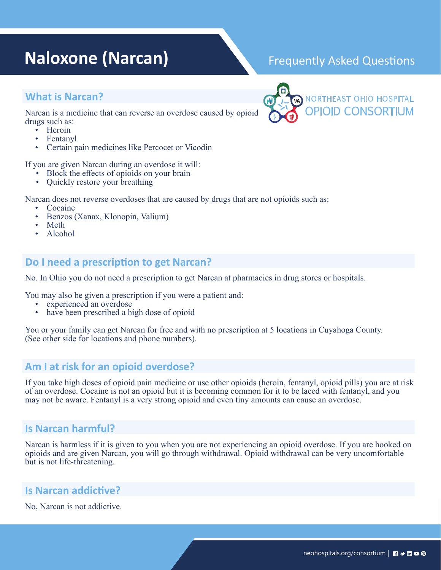# **Naloxone (Narcan)** Frequently Asked Questions

## **What is Narcan?**

Narcan is a medicine that can reverse an overdose caused by opioid drugs such as:<br>
• Heroin<br>
• Fentanyl<br>
• Certain pain medicines like Percocet or Vicodin

- 
- 
- 

If you are given Narcan during an overdose it will: • Block the effects of opioids on your brain • Quickly restore your breathing

- 
- 

Narcan does not reverse overdoses that are caused by drugs that are not opioids such as:<br>
• Cocaine<br>
• Benzos (Xanax, Klonopin, Valium)<br>
• Meth<br>
• Alcohol

- 
- 
- 
- 

## **Do I need a prescription to get Narcan?**

No. In Ohio you do not need a prescription to get Narcan at pharmacies in drug stores or hospitals.

You may also be given a prescription if you were a patient and:

- experienced an overdose
- have been prescribed a high dose of opioid

You or your family can get Narcan for free and with no prescription at 5 locations in Cuyahoga County. (See other side for locations and phone numbers).

## **Am I at risk for an opioid overdose?**

If you take high doses of opioid pain medicine or use other opioids (heroin, fentanyl, opioid pills) you are at risk of an overdose. Cocaine is not an opioid but it is becoming common for it to be laced with fentanyl, and you may not be aware. Fentanyl is a very strong opioid and even tiny amounts can cause an overdose.

# **Is Narcan harmful?**

Narcan is harmless if it is given to you when you are not experiencing an opioid overdose. If you are hooked on opioids and are given Narcan, you will go through withdrawal. Opioid withdrawal can be very uncomfortable but is not life-threatening.

## **Is Narcan addictive?**

No, Narcan is not addictive.



#### neohospitals.org/consortium | **| | + | | | 0**